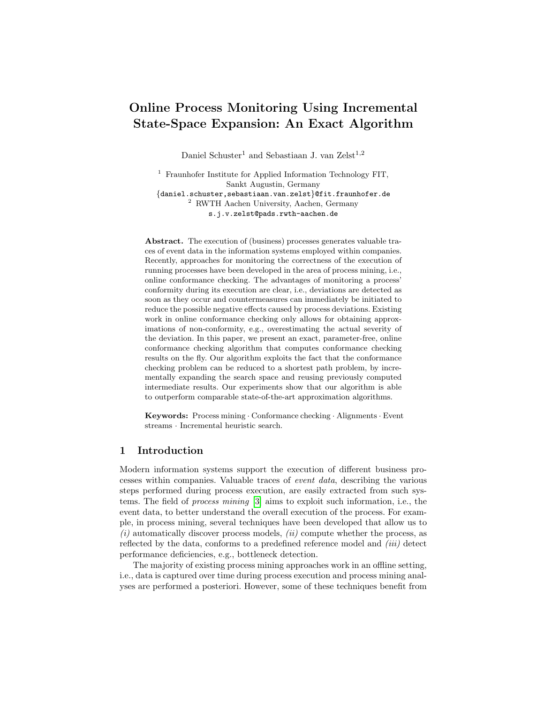# Online Process Monitoring Using Incremental State-Space Expansion: An Exact Algorithm

Daniel Schuster<sup>1</sup> and Sebastiaan J. van Zelst<sup>1,2</sup>

 $^{\rm 1}$  Fraunhofer Institute for Applied Information Technology FIT, Sankt Augustin, Germany {daniel.schuster,sebastiaan.van.zelst}@fit.fraunhofer.de <sup>2</sup> RWTH Aachen University, Aachen, Germany s.j.v.zelst@pads.rwth-aachen.de

Abstract. The execution of (business) processes generates valuable traces of event data in the information systems employed within companies. Recently, approaches for monitoring the correctness of the execution of running processes have been developed in the area of process mining, i.e., online conformance checking. The advantages of monitoring a process' conformity during its execution are clear, i.e., deviations are detected as soon as they occur and countermeasures can immediately be initiated to reduce the possible negative effects caused by process deviations. Existing work in online conformance checking only allows for obtaining approximations of non-conformity, e.g., overestimating the actual severity of the deviation. In this paper, we present an exact, parameter-free, online conformance checking algorithm that computes conformance checking results on the fly. Our algorithm exploits the fact that the conformance checking problem can be reduced to a shortest path problem, by incrementally expanding the search space and reusing previously computed intermediate results. Our experiments show that our algorithm is able to outperform comparable state-of-the-art approximation algorithms.

Keywords: Process mining · Conformance checking · Alignments · Event streams · Incremental heuristic search.

# 1 Introduction

Modern information systems support the execution of different business processes within companies. Valuable traces of event data, describing the various steps performed during process execution, are easily extracted from such systems. The field of process mining [\[3\]](#page-15-0) aims to exploit such information, i.e., the event data, to better understand the overall execution of the process. For example, in process mining, several techniques have been developed that allow us to  $(i)$  automatically discover process models,  $(ii)$  compute whether the process, as reflected by the data, conforms to a predefined reference model and *(iii)* detect performance deficiencies, e.g., bottleneck detection.

The majority of existing process mining approaches work in an offline setting, i.e., data is captured over time during process execution and process mining analyses are performed a posteriori. However, some of these techniques benefit from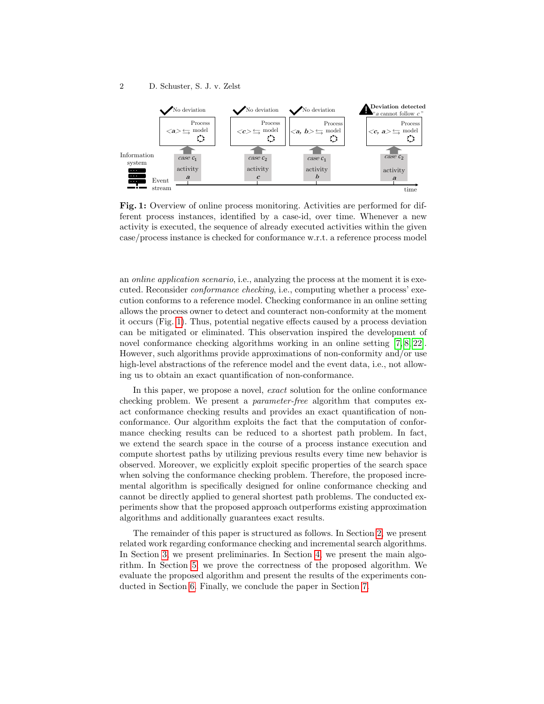<span id="page-1-0"></span>

Fig. 1: Overview of online process monitoring. Activities are performed for different process instances, identified by a case-id, over time. Whenever a new activity is executed, the sequence of already executed activities within the given case/process instance is checked for conformance w.r.t. a reference process model

an online application scenario, i.e., analyzing the process at the moment it is executed. Reconsider conformance checking, i.e., computing whether a process' execution conforms to a reference model. Checking conformance in an online setting allows the process owner to detect and counteract non-conformity at the moment it occurs (Fig. [1\)](#page-1-0). Thus, potential negative effects caused by a process deviation can be mitigated or eliminated. This observation inspired the development of novel conformance checking algorithms working in an online setting [\[7,](#page-15-1) [8,](#page-15-2) [22\]](#page-16-0). However, such algorithms provide approximations of non-conformity and/or use high-level abstractions of the reference model and the event data, i.e., not allowing us to obtain an exact quantification of non-conformance.

In this paper, we propose a novel, exact solution for the online conformance checking problem. We present a parameter-free algorithm that computes exact conformance checking results and provides an exact quantification of nonconformance. Our algorithm exploits the fact that the computation of conformance checking results can be reduced to a shortest path problem. In fact, we extend the search space in the course of a process instance execution and compute shortest paths by utilizing previous results every time new behavior is observed. Moreover, we explicitly exploit specific properties of the search space when solving the conformance checking problem. Therefore, the proposed incremental algorithm is specifically designed for online conformance checking and cannot be directly applied to general shortest path problems. The conducted experiments show that the proposed approach outperforms existing approximation algorithms and additionally guarantees exact results.

The remainder of this paper is structured as follows. In Section [2,](#page-2-0) we present related work regarding conformance checking and incremental search algorithms. In Section [3,](#page-2-1) we present preliminaries. In Section [4,](#page-7-0) we present the main algorithm. In Section [5,](#page-11-0) we prove the correctness of the proposed algorithm. We evaluate the proposed algorithm and present the results of the experiments conducted in Section [6.](#page-12-0) Finally, we conclude the paper in Section [7.](#page-15-3)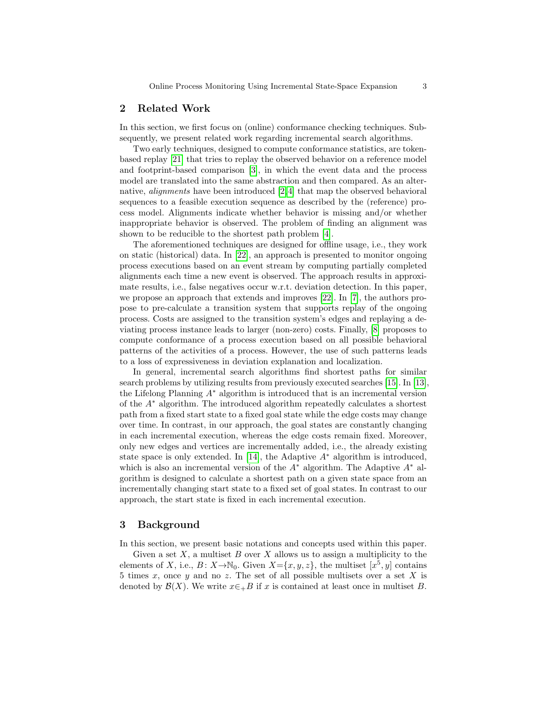## <span id="page-2-0"></span>2 Related Work

In this section, we first focus on (online) conformance checking techniques. Subsequently, we present related work regarding incremental search algorithms.

Two early techniques, designed to compute conformance statistics, are tokenbased replay [\[21\]](#page-16-1) that tries to replay the observed behavior on a reference model and footprint-based comparison [\[3\]](#page-15-0), in which the event data and the process model are translated into the same abstraction and then compared. As an alternative, alignments have been introduced [\[2,](#page-15-4)[4\]](#page-15-5) that map the observed behavioral sequences to a feasible execution sequence as described by the (reference) process model. Alignments indicate whether behavior is missing and/or whether inappropriate behavior is observed. The problem of finding an alignment was shown to be reducible to the shortest path problem [\[4\]](#page-15-5).

The aforementioned techniques are designed for offline usage, i.e., they work on static (historical) data. In [\[22\]](#page-16-0), an approach is presented to monitor ongoing process executions based on an event stream by computing partially completed alignments each time a new event is observed. The approach results in approximate results, i.e., false negatives occur w.r.t. deviation detection. In this paper, we propose an approach that extends and improves [\[22\]](#page-16-0). In [\[7\]](#page-15-1), the authors propose to pre-calculate a transition system that supports replay of the ongoing process. Costs are assigned to the transition system's edges and replaying a deviating process instance leads to larger (non-zero) costs. Finally, [\[8\]](#page-15-2) proposes to compute conformance of a process execution based on all possible behavioral patterns of the activities of a process. However, the use of such patterns leads to a loss of expressiveness in deviation explanation and localization.

In general, incremental search algorithms find shortest paths for similar search problems by utilizing results from previously executed searches [\[15\]](#page-16-2). In [\[13\]](#page-16-3), the Lifelong Planning  $A^*$  algorithm is introduced that is an incremental version of the A<sup>∗</sup> algorithm. The introduced algorithm repeatedly calculates a shortest path from a fixed start state to a fixed goal state while the edge costs may change over time. In contrast, in our approach, the goal states are constantly changing in each incremental execution, whereas the edge costs remain fixed. Moreover, only new edges and vertices are incrementally added, i.e., the already existing state space is only extended. In [\[14\]](#page-16-4), the Adaptive  $A^*$  algorithm is introduced, which is also an incremental version of the  $A^*$  algorithm. The Adaptive  $A^*$  algorithm is designed to calculate a shortest path on a given state space from an incrementally changing start state to a fixed set of goal states. In contrast to our approach, the start state is fixed in each incremental execution.

# <span id="page-2-1"></span>3 Background

In this section, we present basic notations and concepts used within this paper. Given a set  $X$ , a multiset  $B$  over  $X$  allows us to assign a multiplicity to the elements of X, i.e.,  $B: X \to \mathbb{N}_0$ . Given  $X = \{x, y, z\}$ , the multiset  $[x^5, y]$  contains 5 times x, once y and no z. The set of all possible multisets over a set  $X$  is denoted by  $\mathcal{B}(X)$ . We write  $x \in B$  if x is contained at least once in multiset B.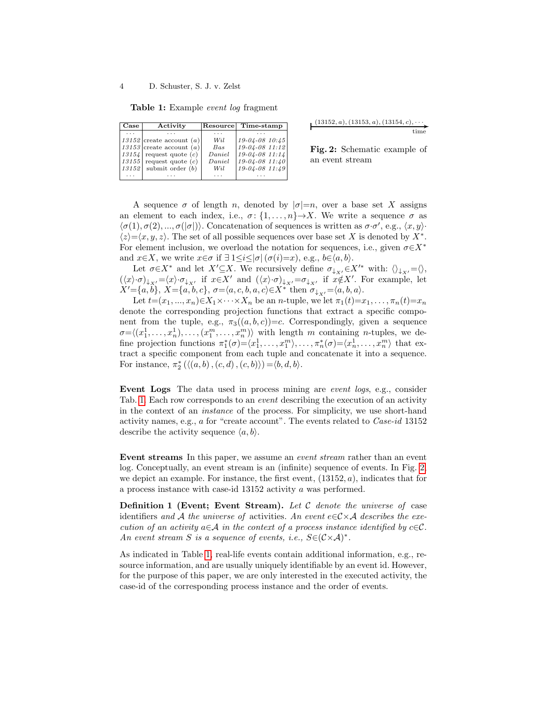<span id="page-3-0"></span>Table 1: Example event log fragment

| $\bf Case$ | Activity                   |        | Resource Time-stamp    |  |  |  |  |
|------------|----------------------------|--------|------------------------|--|--|--|--|
| .          |                            |        |                        |  |  |  |  |
|            | $13152$ create account (a) | Wil    | $19 - 04 - 08$ $10:45$ |  |  |  |  |
|            | $13153$ create account (a) | Bas    | $19 - 04 - 08$ $11:12$ |  |  |  |  |
|            | 13154 request quote $(c)$  | Daniel | 19-04-08 11:14         |  |  |  |  |
| 13155      | request quote $(c)$        | Daniel | $19 - 04 - 08$ $11:40$ |  |  |  |  |
|            | $13152$ submit order (b)   | Wil    | 19-04-08 11:49         |  |  |  |  |
|            |                            |        |                        |  |  |  |  |



Fig. 2: Schematic example of an event stream

A sequence  $\sigma$  of length n, denoted by  $|\sigma|=n$ , over a base set X assigns an element to each index, i.e.,  $\sigma: \{1, \ldots, n\} \rightarrow X$ . We write a sequence  $\sigma$  as  $\langle \sigma(1), \sigma(2), ..., \sigma(|\sigma|) \rangle$ . Concatenation of sequences is written as  $\sigma \cdot \sigma'$ , e.g.,  $\langle x, y \rangle$ .  $\langle z \rangle = \langle x, y, z \rangle$ . The set of all possible sequences over base set X is denoted by  $X^*$ . For element inclusion, we overload the notation for sequences, i.e., given  $\sigma \in X^*$ and  $x \in X$ , we write  $x \in \sigma$  if  $\exists 1 \leq i \leq |\sigma| (\sigma(i)=x)$ , e.g.,  $b \in \langle a, b \rangle$ .

Let  $\sigma \in X^*$  and let  $X' \subseteq X$ . We recursively define  $\sigma_{\downarrow_{X'}} \in X'^*$  with:  $\langle \rangle_{\downarrow_{X'}} = \langle \rangle$ ,  $(\langle x \rangle \cdot \sigma)_{\downarrow_{X'}} = \langle x \rangle \cdot \sigma_{\downarrow_{X'}}$  if  $x \in X'$  and  $(\langle x \rangle \cdot \sigma)_{\downarrow_{X'}} = \sigma_{\downarrow_{X'}}$  if  $x \notin X'$ . For example, let  $X' = \{a, b\}, X = \{a, b, c\}, \sigma = \langle a, c, b, a, c \rangle \in X^*$  then  $\sigma_{\downarrow_{X'}} = \langle a, b, a \rangle$ .

Let  $t=(x_1, ..., x_n)\in X_1\times \cdots \times X_n$  be an *n*-tuple, we let  $\pi_1(t)=x_1, ..., \pi_n(t)=x_n$ denote the corresponding projection functions that extract a specific component from the tuple, e.g.,  $\pi_3((a, b, c))=c$ . Correspondingly, given a sequence  $\sigma = \langle (x_1^1, \ldots, x_n^1), \ldots, (x_1^m, \ldots, x_n^m) \rangle$  with length m containing n-tuples, we define projection functions  $\pi_1^*(\sigma) = \langle x_1^1, \ldots, x_1^m \rangle, \ldots, \pi_n^*(\sigma) = \langle x_n^1, \ldots, x_n^m \rangle$  that extract a specific component from each tuple and concatenate it into a sequence. For instance,  $\pi_2^* \left( \langle (a, b), (c, d), (c, b) \rangle \right) = \langle b, d, b \rangle$ .

Event Logs The data used in process mining are event logs, e.g., consider Tab. [1.](#page-3-0) Each row corresponds to an event describing the execution of an activity in the context of an instance of the process. For simplicity, we use short-hand activity names, e.g., a for "create account". The events related to Case-id 13152 describe the activity sequence  $\langle a, b \rangle$ .

Event streams In this paper, we assume an *event stream* rather than an event log. Conceptually, an event stream is an (infinite) sequence of events. In Fig. [2,](#page-3-0) we depict an example. For instance, the first event,  $(13152, a)$ , indicates that for a process instance with case-id 13152 activity a was performed.

Definition 1 (Event; Event Stream). Let  $C$  denote the universe of case identifiers and A the universe of activities. An event e $\in \mathcal{C} \times \mathcal{A}$  describes the execution of an activity  $a \in \mathcal{A}$  in the context of a process instance identified by  $c \in \mathcal{C}$ . An event stream S is a sequence of events, i.e.,  $S \in (C \times A)^*$ .

As indicated in Table [1,](#page-3-0) real-life events contain additional information, e.g., resource information, and are usually uniquely identifiable by an event id. However, for the purpose of this paper, we are only interested in the executed activity, the case-id of the corresponding process instance and the order of events.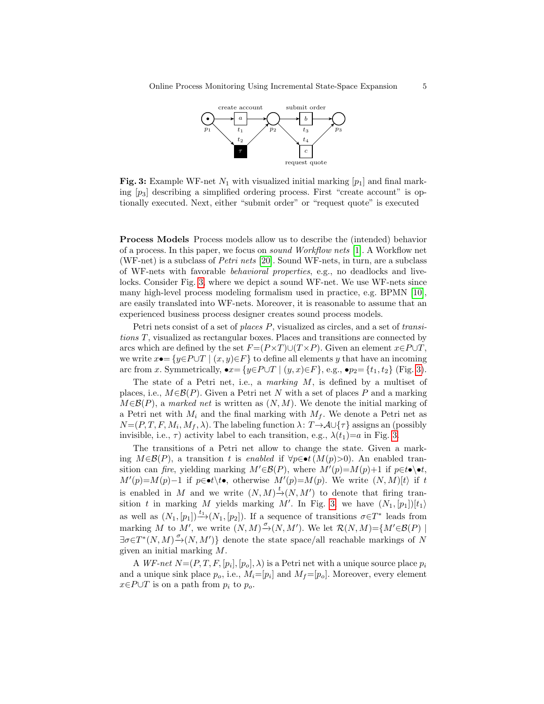<span id="page-4-0"></span>

**Fig. 3:** Example WF-net  $N_1$  with visualized initial marking  $[p_1]$  and final marking  $[p_3]$  describing a simplified ordering process. First "create account" is optionally executed. Next, either "submit order" or "request quote" is executed

Process Models Process models allow us to describe the (intended) behavior of a process. In this paper, we focus on sound Workflow nets [\[1\]](#page-15-6). A Workflow net (WF-net) is a subclass of Petri nets [\[20\]](#page-16-5). Sound WF-nets, in turn, are a subclass of WF-nets with favorable behavioral properties, e.g., no deadlocks and livelocks. Consider Fig. [3,](#page-4-0) where we depict a sound WF-net. We use WF-nets since many high-level process modeling formalism used in practice, e.g. BPMN [\[10\]](#page-16-6), are easily translated into WF-nets. Moreover, it is reasonable to assume that an experienced business process designer creates sound process models.

Petri nets consist of a set of places P, visualized as circles, and a set of transitions T, visualized as rectangular boxes. Places and transitions are connected by arcs which are defined by the set  $F=(P\times T)\cup(T\times P)$ . Given an element  $x\in P\cup T$ , we write  $x \bullet = \{y \in P \cup T \mid (x, y) \in F\}$  to define all elements y that have an incoming arc from x. Symmetrically,  $\bullet x = \{y \in P \cup T \mid (y, x) \in F\}$ , e.g.,  $\bullet p_2 = \{t_1, t_2\}$  (Fig. [3\)](#page-4-0).

The state of a Petri net, i.e., a marking  $M$ , is defined by a multiset of places, i.e.,  $M \in \mathcal{B}(P)$ . Given a Petri net N with a set of places P and a marking  $M \in \mathcal{B}(P)$ , a marked net is written as  $(N, M)$ . We denote the initial marking of a Petri net with  $M_i$  and the final marking with  $M_f$ . We denote a Petri net as  $N=(P, T, F, M_i, M_f, \lambda)$ . The labeling function  $\lambda: T \to \mathcal{A} \cup {\tau}$  assigns an (possibly invisible, i.e.,  $\tau$ ) activity label to each transition, e.g.,  $\lambda(t_1)=a$  in Fig. [3.](#page-4-0)

The transitions of a Petri net allow to change the state. Given a marking  $M\in\mathcal{B}(P)$ , a transition t is enabled if  $\forall p\in\bullet t (M(p)>0)$ . An enabled transition can fire, yielding marking  $M' \in \mathcal{B}(P)$ , where  $M'(p) = M(p) + 1$  if  $p \in t \bullet \backslash \bullet t$ ,  $M'(p) = M(p) - 1$  if  $p \in \mathbf{t} \setminus \mathbf{t}$ , otherwise  $M'(p) = M(p)$ . We write  $(N, M)[t]$  if t is enabled in M and we write  $(N, M) \xrightarrow{t} (N, M')$  to denote that firing tran-sition t in marking M yields marking M'. In Fig. [3,](#page-4-0) we have  $(N_1, [p_1])[t_1)$ as well as  $(N_1, [p_1]) \xrightarrow{t_1} (N_1, [p_2])$ . If a sequence of transitions  $\sigma \in T^*$  leads from marking M to M', we write  $(N, M) \xrightarrow{\sigma} (N, M')$ . We let  $\mathcal{R}(N, M) = \{M' \in \mathcal{B}(P) \mid \mathcal{B}(N, M')\}$  $\exists \sigma \in T^*(N, M) \stackrel{\sigma}{\rightarrow} (N, M')\}$  denote the state space/all reachable markings of N given an initial marking M.

A  $WF-net\ N=(P, T, F, [p_i], [p_o], \lambda)$  is a Petri net with a unique source place  $p_i$ and a unique sink place  $p_o$ , i.e.,  $M_i=[p_i]$  and  $M_f=[p_o]$ . Moreover, every element  $x \in P \cup T$  is on a path from  $p_i$  to  $p_o$ .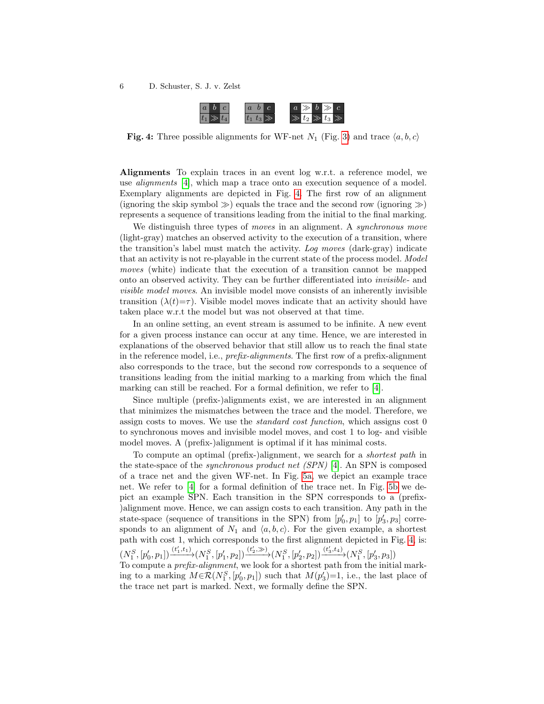

<span id="page-5-0"></span>**Fig. 4:** Three possible alignments for WF-net  $N_1$  (Fig. [3\)](#page-4-0) and trace  $\langle a, b, c \rangle$ 

Alignments To explain traces in an event log w.r.t. a reference model, we use alignments [\[4\]](#page-15-5), which map a trace onto an execution sequence of a model. Exemplary alignments are depicted in Fig. [4.](#page-5-0) The first row of an alignment (ignoring the skip symbol  $\gg$ ) equals the trace and the second row (ignoring  $\gg$ ) represents a sequence of transitions leading from the initial to the final marking.

We distinguish three types of *moves* in an alignment. A *synchronous move* (light-gray) matches an observed activity to the execution of a transition, where the transition's label must match the activity. Log moves (dark-gray) indicate that an activity is not re-playable in the current state of the process model. Model moves (white) indicate that the execution of a transition cannot be mapped onto an observed activity. They can be further differentiated into invisible- and visible model moves. An invisible model move consists of an inherently invisible transition  $(\lambda(t)=\tau)$ . Visible model moves indicate that an activity should have taken place w.r.t the model but was not observed at that time.

In an online setting, an event stream is assumed to be infinite. A new event for a given process instance can occur at any time. Hence, we are interested in explanations of the observed behavior that still allow us to reach the final state in the reference model, i.e., prefix-alignments. The first row of a prefix-alignment also corresponds to the trace, but the second row corresponds to a sequence of transitions leading from the initial marking to a marking from which the final marking can still be reached. For a formal definition, we refer to [\[4\]](#page-15-5).

Since multiple (prefix-)alignments exist, we are interested in an alignment that minimizes the mismatches between the trace and the model. Therefore, we assign costs to moves. We use the standard cost function, which assigns cost 0 to synchronous moves and invisible model moves, and cost 1 to log- and visible model moves. A (prefix-)alignment is optimal if it has minimal costs.

To compute an optimal (prefix-)alignment, we search for a shortest path in the state-space of the synchronous product net (SPN) [\[4\]](#page-15-5). An SPN is composed of a trace net and the given WF-net. In Fig. [5a,](#page-6-0) we depict an example trace net. We refer to [\[4\]](#page-15-5) for a formal definition of the trace net. In Fig. [5b](#page-6-0) we depict an example SPN. Each transition in the SPN corresponds to a (prefix- )alignment move. Hence, we can assign costs to each transition. Any path in the state-space (sequence of transitions in the SPN) from  $[p'_0, p_1]$  to  $[p'_3, p_3]$  corresponds to an alignment of  $N_1$  and  $\langle a, b, c \rangle$ . For the given example, a shortest path with cost 1, which corresponds to the first alignment depicted in Fig. [4,](#page-5-0) is:  $(N^S_1, [p'_0, p_1]) \xrightarrow{(t'_1, t_1)} (N^S_1, [p'_1, p_2]) \xrightarrow{(t'_2, \gg)} (N^S_1, [p'_2, p_2]) \xrightarrow{(t'_3, t_4)} (N^S_1, [p'_3, p_3])$ To compute a *prefix-alignment*, we look for a shortest path from the initial marking to a marking  $M \in \mathcal{R}(N_1^S, [p'_0, p_1])$  such that  $M(p'_3)=1$ , i.e., the last place of the trace net part is marked. Next, we formally define the SPN.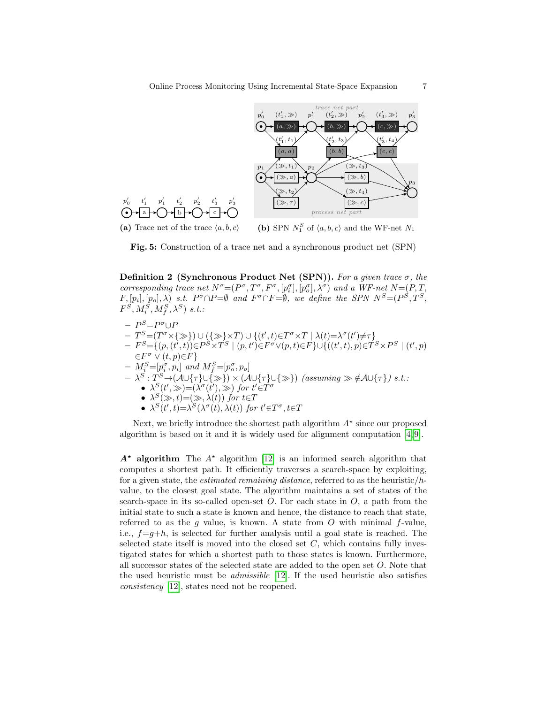<span id="page-6-0"></span>

Fig. 5: Construction of a trace net and a synchronous product net (SPN)

Definition 2 (Synchronous Product Net (SPN)). For a given trace  $\sigma$ , the corresponding trace net  $N^{\sigma} = (P^{\sigma}, T^{\sigma}, F^{\sigma}, [p_i^{\sigma}], [p_o^{\sigma}], \lambda^{\sigma})$  and a WF-net  $N = (P, T,$  $F, [p_i], [p_o], \lambda)$  s.t.  $P^{\sigma} \cap P = \emptyset$  and  $F^{\sigma} \cap F = \emptyset$ , we define the SPN  $N^S = (P^S, T^S, \mathcal{O})$  $F^S, M_i^S, M_f^S, \lambda^S) \ \ s.t. \colon$ 

$$
- PS = Pσ ∪ P
$$
  
\n
$$
- TS = (Tσ × {≈}) ∪ (({⟩} × T) ∪ {(t, t) ∈ Tσ × T | λ(t) = λσ(t') ≠ τ}
$$
  
\n
$$
- FS = {(p, (t', t)) ∈ PS × TS | (p, t') ∈ Fσ ∨ (p, t) ∈ F} ∪ {((t', t), p) ∈ TS × PS | (t', p)
$$
  
\n
$$
∈ Fσ ∨ (t, p) ∈ F
$$
  
\n
$$
- MSi = [pσi, pi] and MSf = [pσσ, po]
$$
  
\n
$$
- λS : TS → (A ∪ {τ} ∪ {≥}) × (A ∪ {τ} ∑ ∃ {≥}) (assuming ≫ ∉A ∪ {τ}) s.t.:
$$
  
\n• λ<sup>S</sup>(*t'*, ≫) = (λ<sup>σ</sup>(*t'*), ≫) for *t* ∈ T<sup>σ</sup>  
\n• λ<sup>S</sup>(≫ , *t*) = (≈, λ(*t*)) for *t* ∈ T<sup>σ</sup>, *t* ∈ T  
\n• λ<sup>S</sup>(*t'*, *t*) = λ<sup>S</sup>(λ<sup>σ</sup>(*t*), λ(*t*)) for *t'* ∈ T<sup>σ</sup>, *t* ∈ T

Next, we briefly introduce the shortest path algorithm  $A^*$  since our proposed algorithm is based on it and it is widely used for alignment computation [\[4,](#page-15-5) [9\]](#page-16-7).

 $A^*$  algorithm The  $A^*$  algorithm [\[12\]](#page-16-8) is an informed search algorithm that computes a shortest path. It efficiently traverses a search-space by exploiting, for a given state, the *estimated remaining distance*, referred to as the heuristic/ $h$ value, to the closest goal state. The algorithm maintains a set of states of the search-space in its so-called open-set  $O$ . For each state in  $O$ , a path from the initial state to such a state is known and hence, the distance to reach that state, referred to as the  $g$  value, is known. A state from  $O$  with minimal  $f$ -value, i.e.,  $f=q+h$ , is selected for further analysis until a goal state is reached. The selected state itself is moved into the closed set  $C$ , which contains fully investigated states for which a shortest path to those states is known. Furthermore, all successor states of the selected state are added to the open set O. Note that the used heuristic must be admissible [\[12\]](#page-16-8). If the used heuristic also satisfies consistency [\[12\]](#page-16-8), states need not be reopened.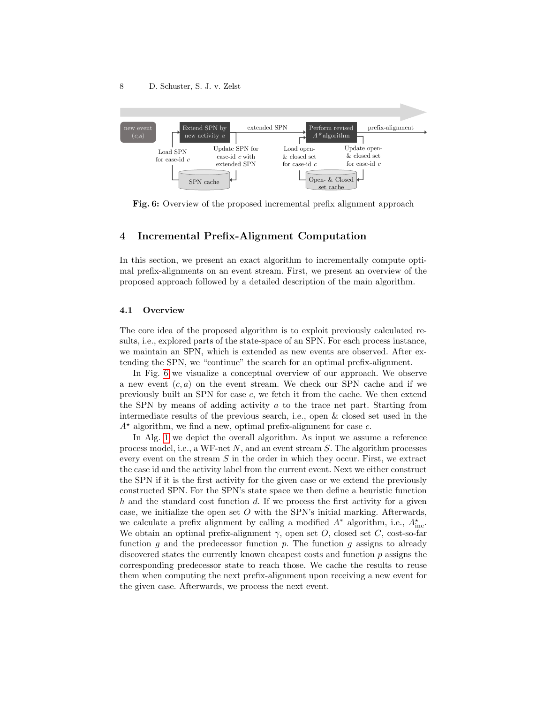<span id="page-7-1"></span>

Fig. 6: Overview of the proposed incremental prefix alignment approach

## <span id="page-7-0"></span>4 Incremental Prefix-Alignment Computation

In this section, we present an exact algorithm to incrementally compute optimal prefix-alignments on an event stream. First, we present an overview of the proposed approach followed by a detailed description of the main algorithm.

### 4.1 Overview

The core idea of the proposed algorithm is to exploit previously calculated results, i.e., explored parts of the state-space of an SPN. For each process instance, we maintain an SPN, which is extended as new events are observed. After extending the SPN, we "continue" the search for an optimal prefix-alignment.

In Fig. [6](#page-7-1) we visualize a conceptual overview of our approach. We observe a new event  $(c, a)$  on the event stream. We check our SPN cache and if we previously built an SPN for case c, we fetch it from the cache. We then extend the SPN by means of adding activity  $a$  to the trace net part. Starting from intermediate results of the previous search, i.e., open & closed set used in the  $A^*$  algorithm, we find a new, optimal prefix-alignment for case c.

In Alg. [1](#page-8-0) we depict the overall algorithm. As input we assume a reference process model, i.e., a WF-net  $N$ , and an event stream  $S$ . The algorithm processes every event on the stream  $S$  in the order in which they occur. First, we extract the case id and the activity label from the current event. Next we either construct the SPN if it is the first activity for the given case or we extend the previously constructed SPN. For the SPN's state space we then define a heuristic function  $h$  and the standard cost function  $d$ . If we process the first activity for a given case, we initialize the open set  $O$  with the SPN's initial marking. Afterwards, we calculate a prefix alignment by calling a modified  $A^*$  algorithm, i.e.,  $A_{\text{inc}}^*$ . We obtain an optimal prefix-alignment  $\overline{\gamma}$ , open set O, closed set C, cost-so-far function q and the predecessor function  $p$ . The function q assigns to already discovered states the currently known cheapest costs and function  $p$  assigns the corresponding predecessor state to reach those. We cache the results to reuse them when computing the next prefix-alignment upon receiving a new event for the given case. Afterwards, we process the next event.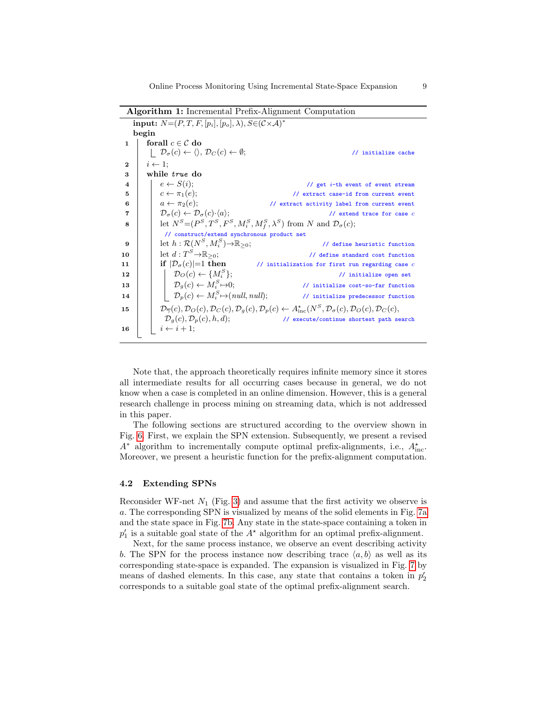Algorithm 1: Incremental Prefix-Alignment Computation

<span id="page-8-0"></span>

|                       | input: $N=(P, T, F, [p_i], [p_o], \lambda), S \in (C \times \mathcal{A})^*$                                                                                                                                                                                                                |  |  |  |  |  |  |  |
|-----------------------|--------------------------------------------------------------------------------------------------------------------------------------------------------------------------------------------------------------------------------------------------------------------------------------------|--|--|--|--|--|--|--|
|                       | begin                                                                                                                                                                                                                                                                                      |  |  |  |  |  |  |  |
| $\mathbf{1}$          | forall $c \in \mathcal{C}$ do                                                                                                                                                                                                                                                              |  |  |  |  |  |  |  |
|                       | $\vert \mathcal{D}_{\sigma}(c) \leftarrow \langle \rangle, \mathcal{D}_{C}(c) \leftarrow \emptyset;$<br>initialize cache<br>$\prime\prime$                                                                                                                                                 |  |  |  |  |  |  |  |
| $\bf{2}$              | $i \leftarrow 1$                                                                                                                                                                                                                                                                           |  |  |  |  |  |  |  |
| 3                     | while <i>true</i> do                                                                                                                                                                                                                                                                       |  |  |  |  |  |  |  |
| $\boldsymbol{\Delta}$ | $e \leftarrow S(i)$<br>// get <i>i</i> -th event of event stream                                                                                                                                                                                                                           |  |  |  |  |  |  |  |
| 5                     | $c \leftarrow \pi_1(e)$<br>// extract case-id from current event                                                                                                                                                                                                                           |  |  |  |  |  |  |  |
| В                     | $a \leftarrow \pi_2(e);$<br>// extract activity label from current event                                                                                                                                                                                                                   |  |  |  |  |  |  |  |
| 7                     | $\mathcal{D}_{\sigma}(c) \leftarrow \mathcal{D}_{\sigma}(c) \cdot \langle a \rangle;$<br>// extend trace for case $c$                                                                                                                                                                      |  |  |  |  |  |  |  |
| 8                     | let $N^S = (P^S, T^S, F^S, M_i^S, M_f^S, \lambda^S)$ from N and $\mathcal{D}_{\sigma}(c)$ ;                                                                                                                                                                                                |  |  |  |  |  |  |  |
|                       | // construct/extend synchronous product net                                                                                                                                                                                                                                                |  |  |  |  |  |  |  |
| 9                     | let $h : \mathcal{R}(N^S, M_i^S) \rightarrow \mathbb{R}_{\geq 0};$<br>// define heuristic function                                                                                                                                                                                         |  |  |  |  |  |  |  |
| 10                    | let $d: T^S \rightarrow \mathbb{R}_{\geq 0}$ ;<br>// define standard cost function                                                                                                                                                                                                         |  |  |  |  |  |  |  |
| 11                    | if $ \mathcal{D}_{\sigma}(c) =1$ then<br>// initialization for first run regarding case $c$                                                                                                                                                                                                |  |  |  |  |  |  |  |
| 12                    | $\mathcal{D}_O(c) \leftarrow \{M_i^S\};$<br>// initialize open set                                                                                                                                                                                                                         |  |  |  |  |  |  |  |
| 13                    | $\mathcal{D}_q(c) \leftarrow M_i^S \rightarrow 0;$<br>// initialize cost-so-far function                                                                                                                                                                                                   |  |  |  |  |  |  |  |
| 14                    | $\left  \quad \mathcal{D}_p(c) \leftarrow M_i^S \mapsto (null, null);$<br>// initialize predecessor function                                                                                                                                                                               |  |  |  |  |  |  |  |
| 15                    | $\mathcal{D}_{\overline{\gamma}}(c), \mathcal{D}_{\mathcal{O}}(c), \mathcal{D}_{\mathcal{C}}(c), \mathcal{D}_{\mathfrak{g}}(c), \mathcal{D}_{\mathfrak{p}}(c) \leftarrow A^{\star}_{\text{inc}}(N^S, \mathcal{D}_{\sigma}(c), \mathcal{D}_{\mathcal{O}}(c), \mathcal{D}_{\mathcal{C}}(c),$ |  |  |  |  |  |  |  |
|                       | $\mathcal{D}_q(c), \mathcal{D}_p(c), h, d)$ ;<br>// execute/continue shortest path search                                                                                                                                                                                                  |  |  |  |  |  |  |  |
| 16                    | $i \leftarrow i + 1$ ;                                                                                                                                                                                                                                                                     |  |  |  |  |  |  |  |

Note that, the approach theoretically requires infinite memory since it stores all intermediate results for all occurring cases because in general, we do not know when a case is completed in an online dimension. However, this is a general research challenge in process mining on streaming data, which is not addressed in this paper.

The following sections are structured according to the overview shown in Fig. [6.](#page-7-1) First, we explain the SPN extension. Subsequently, we present a revised  $A^*$  algorithm to incrementally compute optimal prefix-alignments, i.e.,  $A_{\text{inc}}^*$ . Moreover, we present a heuristic function for the prefix-alignment computation.

# 4.2 Extending SPNs

Reconsider WF-net  $N_1$  (Fig. [3\)](#page-4-0) and assume that the first activity we observe is a. The corresponding SPN is visualized by means of the solid elements in Fig. [7a](#page-9-0) and the state space in Fig. [7b.](#page-9-0) Any state in the state-space containing a token in  $p'_1$  is a suitable goal state of the  $A^*$  algorithm for an optimal prefix-alignment.

Next, for the same process instance, we observe an event describing activity b. The SPN for the process instance now describing trace  $\langle a, b \rangle$  as well as its corresponding state-space is expanded. The expansion is visualized in Fig. [7](#page-9-0) by means of dashed elements. In this case, any state that contains a token in  $p'_2$ corresponds to a suitable goal state of the optimal prefix-alignment search.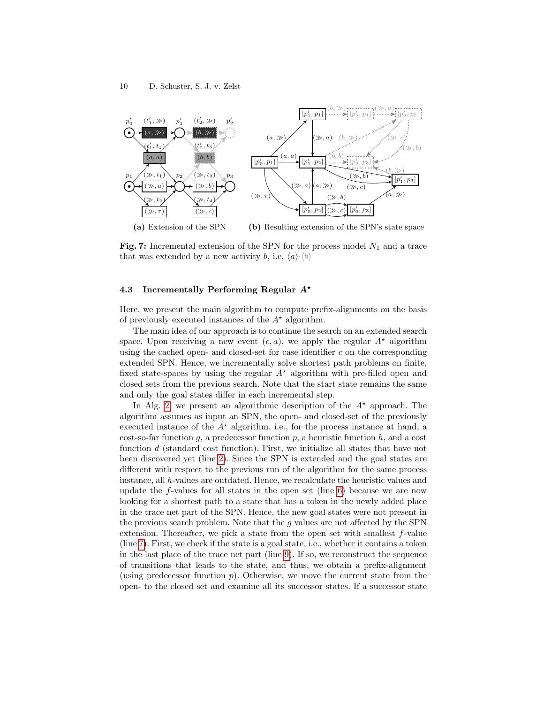<span id="page-9-0"></span>

Fig. 7: Incremental extension of the SPN for the process model  $N_1$  and a trace that was extended by a new activity b, i.e,  $\langle a \rangle \cdot \langle b \rangle$ 

## <span id="page-9-1"></span>4.3 Incrementally Performing Regular  $A^*$

Here, we present the main algorithm to compute prefix-alignments on the basis of previously executed instances of the  $A^*$  algorithm.

The main idea of our approach is to continue the search on an extended search space. Upon receiving a new event  $(c, a)$ , we apply the regular  $A^*$  algorithm using the cached open- and closed-set for case identifier  $c$  on the corresponding extended SPN. Hence, we incrementally solve shortest path problems on finite, fixed state-spaces by using the regular  $A^*$  algorithm with pre-filled open and closed sets from the previous search. Note that the start state remains the same and only the goal states differ in each incremental step.

In Alg. [2,](#page-10-0) we present an algorithmic description of the  $A^*$  approach. The algorithm assumes as input an SPN, the open- and closed-set of the previously executed instance of the  $A^*$  algorithm, i.e., for the process instance at hand, a cost-so-far function g, a predecessor function p, a heuristic function h, and a cost function d (standard cost function). First, we initialize all states that have not been discovered yet (line [2\)](#page-10-1). Since the SPN is extended and the goal states are different with respect to the previous run of the algorithm for the same process instance, all h-values are outdated. Hence, we recalculate the heuristic values and update the f-values for all states in the open set (line [6\)](#page-10-2) because we are now looking for a shortest path to a state that has a token in the newly added place in the trace net part of the SPN. Hence, the new goal states were not present in the previous search problem. Note that the  $g$  values are not affected by the SPN extension. Thereafter, we pick a state from the open set with smallest  $f$ -value (line [7\)](#page-10-3). First, we check if the state is a goal state, i.e., whether it contains a token in the last place of the trace net part (line [9\)](#page-10-4). If so, we reconstruct the sequence of transitions that leads to the state, and thus, we obtain a prefix-alignment (using predecessor function  $p$ ). Otherwise, we move the current state from the open- to the closed set and examine all its successor states. If a successor state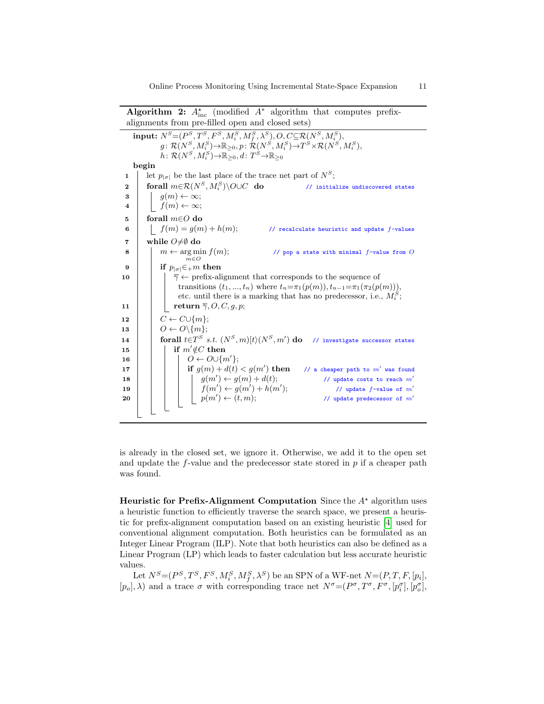Algorithm 2:  $A_{\text{inc}}^*$  (modified  $A^*$  algorithm that computes prefixalignments from pre-filled open and closed sets)

<span id="page-10-5"></span><span id="page-10-4"></span><span id="page-10-3"></span><span id="page-10-2"></span><span id="page-10-1"></span><span id="page-10-0"></span>

|             | <b>input:</b> $N^S = (P^S, T^S, F^S, M_i^S, M_f^S, \lambda^S), O, C \subseteq \mathcal{R}(N^S, M_i^S),$                                                                                   |  |  |  |  |  |  |  |
|-------------|-------------------------------------------------------------------------------------------------------------------------------------------------------------------------------------------|--|--|--|--|--|--|--|
|             | $g: \mathcal{R}(N^S, M_i^S) \rightarrow \mathbb{R}_{\geq 0}, p: \mathcal{R}(N^S, M_i^S) \rightarrow T^S \times \mathcal{R}(N^S, M_i^S),$                                                  |  |  |  |  |  |  |  |
|             | $h: \mathcal{R}(N^S, M_i^S) \rightarrow \mathbb{R}_{\geq 0}, d: T^S \rightarrow \mathbb{R}_{\geq 0}$                                                                                      |  |  |  |  |  |  |  |
|             | begin                                                                                                                                                                                     |  |  |  |  |  |  |  |
| 1           | let $p_{ \sigma }$ be the last place of the trace net part of $N^S$ ;                                                                                                                     |  |  |  |  |  |  |  |
| $\mathbf 2$ | forall $m \in \mathcal{R}(N^S, M_i^S) \backslash O \cup C$ do<br>// initialize undiscovered states                                                                                        |  |  |  |  |  |  |  |
| 3           | $g(m) \leftarrow \infty;$                                                                                                                                                                 |  |  |  |  |  |  |  |
| 4           | $\left  f(m) \leftarrow \infty; \right.$                                                                                                                                                  |  |  |  |  |  |  |  |
| 5           | forall $m \in O$ do                                                                                                                                                                       |  |  |  |  |  |  |  |
| 6           | $f(m) = g(m) + h(m);$<br>// recalculate heuristic and update $f$ -values                                                                                                                  |  |  |  |  |  |  |  |
| 7           | while $O \neq \emptyset$ do                                                                                                                                                               |  |  |  |  |  |  |  |
| 8           | $m \leftarrow \arg \min f(m);$<br>// pop a state with minimal $f$ -value from $O$<br>$m \in \Omega$                                                                                       |  |  |  |  |  |  |  |
| 9           | if $p_{ \sigma } \in \mathbb{R}^m$ then                                                                                                                                                   |  |  |  |  |  |  |  |
| 10          | $\overline{\gamma}$ $\leftarrow$ prefix-alignment that corresponds to the sequence of                                                                                                     |  |  |  |  |  |  |  |
|             | transitions $(t_1, , t_n)$ where $t_n = \pi_1(p(m)), t_{n-1} = \pi_1(\pi_2(p(m))),$                                                                                                       |  |  |  |  |  |  |  |
|             | etc. until there is a marking that has no predecessor, i.e., $M_i^S$ ;                                                                                                                    |  |  |  |  |  |  |  |
| 11          | return $\overline{\gamma}$ , O, C, g, p;                                                                                                                                                  |  |  |  |  |  |  |  |
| 12          | $C \leftarrow C \cup \{m\}$                                                                                                                                                               |  |  |  |  |  |  |  |
| 13          | $O \leftarrow O \setminus \{m\};$                                                                                                                                                         |  |  |  |  |  |  |  |
| 14          | forall $t \in T^S$ s.t. $(N^S, m)[t \rangle (N^S, m')$ do // investigate successor states                                                                                                 |  |  |  |  |  |  |  |
| 15          | if $m' \notin C$ then                                                                                                                                                                     |  |  |  |  |  |  |  |
| 16          | $O \leftarrow O \cup \{m'\};$                                                                                                                                                             |  |  |  |  |  |  |  |
| 17          | if $g(m) + d(t) < g(m')$ then<br>// a cheaper path to $m'$ was found                                                                                                                      |  |  |  |  |  |  |  |
| 18          | $\label{eq:1} \left\{ \begin{array}{l} g(m') \leftarrow g(m) + d(t); \\ f(m') \leftarrow g(m') + h(m'); \\ p(m') \leftarrow (t, m); \end{array} \right.$<br>// update costs to reach $m'$ |  |  |  |  |  |  |  |
| 19          | // update f-value of $m'$                                                                                                                                                                 |  |  |  |  |  |  |  |
| 20          | // update predecessor of $m'$                                                                                                                                                             |  |  |  |  |  |  |  |
|             |                                                                                                                                                                                           |  |  |  |  |  |  |  |
|             |                                                                                                                                                                                           |  |  |  |  |  |  |  |

is already in the closed set, we ignore it. Otherwise, we add it to the open set and update the  $f$ -value and the predecessor state stored in  $p$  if a cheaper path was found.

Heuristic for Prefix-Alignment Computation Since the  $A^*$  algorithm uses a heuristic function to efficiently traverse the search space, we present a heuristic for prefix-alignment computation based on an existing heuristic [\[4\]](#page-15-5) used for conventional alignment computation. Both heuristics can be formulated as an Integer Linear Program (ILP). Note that both heuristics can also be defined as a Linear Program (LP) which leads to faster calculation but less accurate heuristic values.

Let  $N^S = (P^S, T^S, F^S, M_i^S, M_f^S, \lambda^S)$  be an SPN of a WF-net  $N = (P, T, F, [p_i],$  $[p_o], \lambda$ ) and a trace  $\sigma$  with corresponding trace net  $N^{\sigma} = (P^{\sigma}, T^{\sigma}, F^{\sigma}, [p_i^{\sigma}], [p_o^{\sigma}],$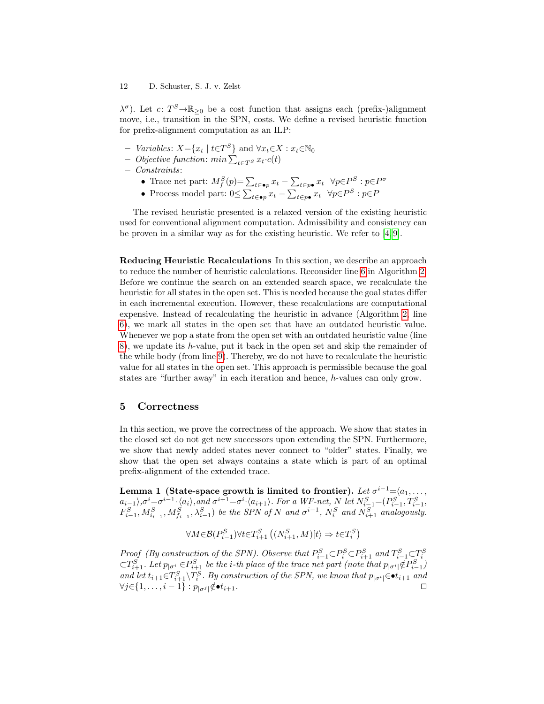$\lambda^{\sigma}$ ). Let  $c: T^{S} \rightarrow \mathbb{R}_{\geq 0}$  be a cost function that assigns each (prefix-)alignment move, i.e., transition in the SPN, costs. We define a revised heuristic function for prefix-alignment computation as an ILP:

- $-$  Variables:  $X = \{x_t | t \in T^S\}$  and  $\forall x_t \in X : x_t \in \mathbb{N}_0$
- − Objective function:  $min\sum_{t \in T^S} x_t \cdot c(t)$
- Constraints:
	- Trace net part:  $M_f^S(p) = \sum_{t \in \bullet p} x_t \sum_{t \in p\bullet} x_t \quad \forall p \in P^S : p \in P^{\sigma}$
	- Process model part:  $0 \le \sum_{t \in \bullet p} x_t \sum_{t \in p\bullet} x_t \quad \forall p \in P^S : p \in P$

The revised heuristic presented is a relaxed version of the existing heuristic used for conventional alignment computation. Admissibility and consistency can be proven in a similar way as for the existing heuristic. We refer to [\[4,](#page-15-5) [9\]](#page-16-7).

Reducing Heuristic Recalculations In this section, we describe an approach to reduce the number of heuristic calculations. Reconsider line [6](#page-10-2) in Algorithm [2.](#page-10-0) Before we continue the search on an extended search space, we recalculate the heuristic for all states in the open set. This is needed because the goal states differ in each incremental execution. However, these recalculations are computational expensive. Instead of recalculating the heuristic in advance (Algorithm [2,](#page-10-0) line [6\)](#page-10-2), we mark all states in the open set that have an outdated heuristic value. Whenever we pop a state from the open set with an outdated heuristic value (line [8\)](#page-10-5), we update its h-value, put it back in the open set and skip the remainder of the while body (from line [9\)](#page-10-4). Thereby, we do not have to recalculate the heuristic value for all states in the open set. This approach is permissible because the goal states are "further away" in each iteration and hence, h-values can only grow.

# <span id="page-11-0"></span>5 Correctness

In this section, we prove the correctness of the approach. We show that states in the closed set do not get new successors upon extending the SPN. Furthermore, we show that newly added states never connect to "older" states. Finally, we show that the open set always contains a state which is part of an optimal prefix-alignment of the extended trace.

<span id="page-11-1"></span>Lemma 1 (State-space growth is limited to frontier). Let  $\sigma^{i-1} = \langle a_1, \ldots, a_n \rangle$  $a_{i-1}$ ,  $\sigma^i = \sigma^{i-1} \cdot \langle a_i \rangle$ , and  $\sigma^{i+1} = \sigma^i \cdot \langle a_{i+1} \rangle$ . For a WF-net, N let  $N_{i-1}^S = (P_{i-1}^S, T_{i-1}^S,$  $F_{i-1}^S, M_{i_{i-1}}^S, M_{f_{i-1}}^S, \lambda_{i-1}^S$  be the SPN of N and  $\sigma^{i-1}$ ,  $N_i^S$  and  $N_{i+1}^S$  analogously.

 $\forall M \in \mathcal{B}(P_{i-1}^S) \forall t \in T_{i+1}^S \left( (N_{i+1}^S, M)[t] \right) \Rightarrow t \in T_i^S$ 

Proof (By construction of the SPN). Observe that  $P_{i-1}^S \subset P_i^S \subset P_{i+1}^S$  and  $T_{i-1}^S \subset T_i^S$  $\subset T_{i+1}^S$ . Let  $p_{|\sigma^i|} \in P_{i+1}^S$  be the *i*-th place of the trace net part (note that  $p_{|\sigma^i|} \notin P_{i-1}^S$ ) and let  $t_{i+1}\in T_{i+1}^S\backslash T_i^S$ . By construction of the SPN, we know that  $p_{|\sigma^i|}\in \bullet t_{i+1}$  and  $\forall j \in \{1,\ldots,i-1\} : p_{|\sigma^j|} \notin \bullet t_{i+1}.$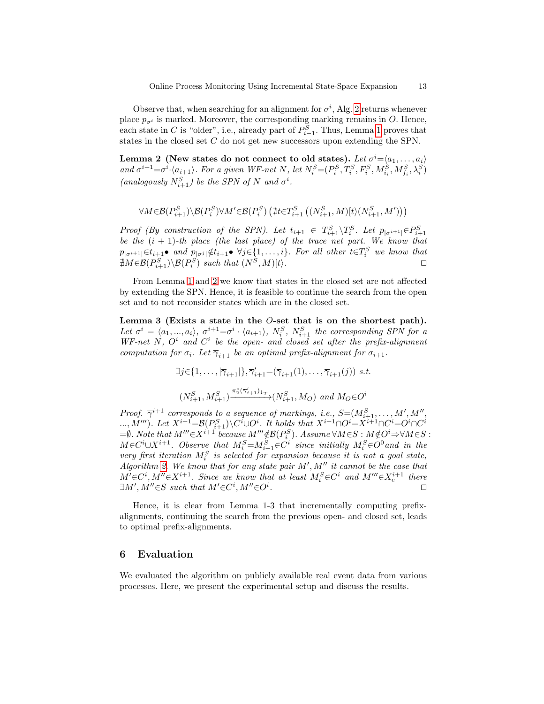Observe that, when searching for an alignment for  $\sigma^i$ , Alg. [2](#page-10-0) returns whenever place  $p_{\sigma i}$  is marked. Moreover, the corresponding marking remains in O. Hence, each state in C is "older", i.e., already part of  $P_{i-1}^S$ . Thus, Lemma [1](#page-11-1) proves that states in the closed set C do not get new successors upon extending the SPN.

<span id="page-12-1"></span>Lemma 2 (New states do not connect to old states). Let  $\sigma^i{=}\langle a_1, \ldots, a_i \rangle$ and  $\sigma^{i+1} = \sigma^i \cdot \langle a_{i+1} \rangle$ . For a given WF-net N, let  $N_i^S = (P_i^S, T_i^S, F_i^S, M_{i_i}^S, M_{f_i}^S, \lambda_i^S)$ (analogously  $N_{i+1}^S$ ) be the SPN of N and  $\sigma^i$ .

$$
\forall M \in \mathcal{B}(P_{i+1}^S) \setminus \mathcal{B}(P_i^S) \forall M' \in \mathcal{B}(P_i^S) \left( \nexists t \in T_{i+1}^S \left( (N_{i+1}^S, M)[t \right) (N_{i+1}^S, M') \right) \right)
$$

Proof (By construction of the SPN). Let  $t_{i+1} \in T_{i+1}^S \setminus T_i^S$ . Let  $p_{|\sigma^{i+1}|} \in P_{i+1}^S$ be the  $(i + 1)$ -th place (the last place) of the trace net part. We know that  $p_{|\sigma^{i+1}|} \in t_{i+1}$ • and  $p_{|\sigma^{j}|} \notin t_{i+1}$ •  $\forall j \in \{1, ..., i\}$ . For all other  $t \in T_i^S$  we know that  $\sharp M \in \mathcal{B}(P_{i+1}^S) \setminus \mathcal{B}(P_i^S)$  such that  $(N^S, M)[t)$ .

From Lemma [1](#page-11-1) and [2](#page-12-1) we know that states in the closed set are not affected by extending the SPN. Hence, it is feasible to continue the search from the open set and to not reconsider states which are in the closed set.

Lemma 3 (Exists a state in the  $O$ -set that is on the shortest path). Let  $\sigma^i = \langle a_1, ..., a_i \rangle$ ,  $\sigma^{i+1} = \sigma^i \cdot \langle a_{i+1} \rangle$ ,  $N_i^S$ ,  $N_{i+1}^S$  the corresponding SPN for a WF-net N,  $O^i$  and  $C^i$  be the open- and closed set after the prefix-alignment computation for  $\sigma_i$ . Let  $\overline{\gamma}_{i+1}$  be an optimal prefix-alignment for  $\sigma_{i+1}$ .

$$
\exists j \in \{1, \ldots, |\overline{\gamma}_{i+1}|\}, \overline{\gamma}'_{i+1} = (\overline{\gamma}_{i+1}(1), \ldots, \overline{\gamma}_{i+1}(j)) \text{ s.t.}
$$
  

$$
(N_{i+1}^S, M_{i+1}^S) \xrightarrow{\pi_2^*(\overline{\gamma}'_{i+1})_{\downarrow_T}} (N_{i+1}^S, M_O) \text{ and } M_O \in O^i
$$

Proof.  $\overline{\gamma}^{i+1}$  corresponds to a sequence of markings, i.e.,  $S = (M_{i+1}^S, \ldots, M', M'',$ ..., M'''). Let  $X^{i+1} = \mathcal{B}(P_{i+1}^S) \setminus C^i \cup O^i$ . It holds that  $X^{i+1} \cap O^i = X^{i+1} \cap C^i = O^i \cap C^i$  $=\emptyset$ . Note that  $M''' \in X^{i+1}$  because  $M'''\notin \mathcal{B}(P_i^S)$ . Assume  $\forall M \in S : M \notin O^i \Rightarrow \forall M \in S$ :  $M \in C^i \cup X^{i+1}$ . Observe that  $M_i^S = M_{i+1}^S \in C^i$  since initially  $M_i^S \in O^0$  and in the very first iteration  $M_i^S$  is selected for expansion because it is not a goal state, Algorithm [2.](#page-10-0) We know that for any state pair  $M', M''$  it cannot be the case that  $M' \in C^i$ ,  $M'' \in X^{i+1}$ . Since we know that at least  $M_i^S \in C^i$  and  $M''' \in X_c^{i+1}$  there  $\exists M', M'' \in S$  such that  $M' \in C^i, M'' \in O^i$ . The contract of the contract of  $\Box$ 

Hence, it is clear from Lemma 1-3 that incrementally computing prefixalignments, continuing the search from the previous open- and closed set, leads to optimal prefix-alignments.

# <span id="page-12-0"></span>6 Evaluation

We evaluated the algorithm on publicly available real event data from various processes. Here, we present the experimental setup and discuss the results.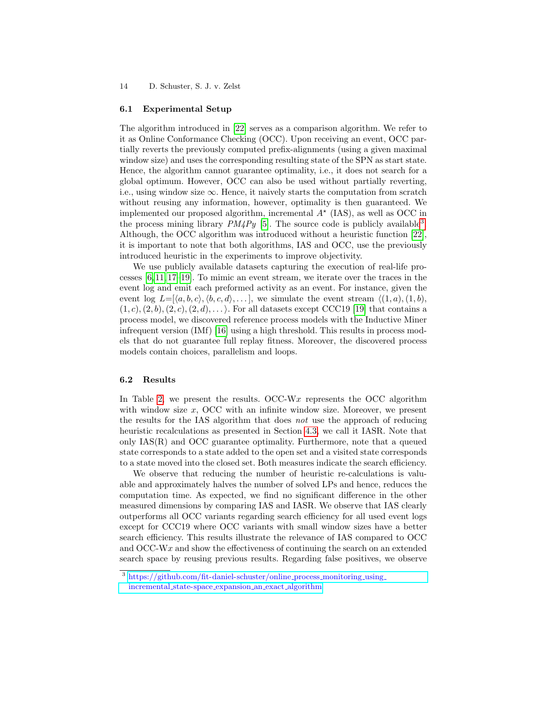#### 6.1 Experimental Setup

The algorithm introduced in [\[22\]](#page-16-0) serves as a comparison algorithm. We refer to it as Online Conformance Checking (OCC). Upon receiving an event, OCC partially reverts the previously computed prefix-alignments (using a given maximal window size) and uses the corresponding resulting state of the SPN as start state. Hence, the algorithm cannot guarantee optimality, i.e., it does not search for a global optimum. However, OCC can also be used without partially reverting, i.e., using window size  $\infty$ . Hence, it naively starts the computation from scratch without reusing any information, however, optimality is then guaranteed. We implemented our proposed algorithm, incremental  $A^*$  (IAS), as well as OCC in the process mining library  $PM_4Py$  [\[5\]](#page-15-7). The source code is publicly available<sup>[3](#page-13-0)</sup>. Although, the OCC algorithm was introduced without a heuristic function [\[22\]](#page-16-0), it is important to note that both algorithms, IAS and OCC, use the previously introduced heuristic in the experiments to improve objectivity.

We use publicly available datasets capturing the execution of real-life processes [\[6,](#page-15-8) [11,](#page-16-9) [17–](#page-16-10)[19\]](#page-16-11). To mimic an event stream, we iterate over the traces in the event log and emit each preformed activity as an event. For instance, given the event log  $L = \{(a, b, c), (b, c, d), \ldots\}$ , we simulate the event stream  $\{(1, a), (1, b),\}$  $(1, c), (2, b), (2, c), (2, d), \ldots$ . For all datasets except CCC19 [\[19\]](#page-16-11) that contains a process model, we discovered reference process models with the Inductive Miner infrequent version (IMf) [\[16\]](#page-16-12) using a high threshold. This results in process models that do not guarantee full replay fitness. Moreover, the discovered process models contain choices, parallelism and loops.

## 6.2 Results

In Table [2,](#page-14-0) we present the results. OCC-W<sub>x</sub> represents the OCC algorithm with window size  $x$ , OCC with an infinite window size. Moreover, we present the results for the IAS algorithm that does not use the approach of reducing heuristic recalculations as presented in Section [4.3,](#page-9-1) we call it IASR. Note that only IAS(R) and OCC guarantee optimality. Furthermore, note that a queued state corresponds to a state added to the open set and a visited state corresponds to a state moved into the closed set. Both measures indicate the search efficiency.

We observe that reducing the number of heuristic re-calculations is valuable and approximately halves the number of solved LPs and hence, reduces the computation time. As expected, we find no significant difference in the other measured dimensions by comparing IAS and IASR. We observe that IAS clearly outperforms all OCC variants regarding search efficiency for all used event logs except for CCC19 where OCC variants with small window sizes have a better search efficiency. This results illustrate the relevance of IAS compared to OCC and OCC-Wx and show the effectiveness of continuing the search on an extended search space by reusing previous results. Regarding false positives, we observe

<span id="page-13-0"></span><sup>3</sup> [https://github.com/fit-daniel-schuster/online](https://github.com/fit-daniel-schuster/online_process_monitoring_using_incremental_state-space_expansion_an_exact_algorithm) process monitoring using [incremental](https://github.com/fit-daniel-schuster/online_process_monitoring_using_incremental_state-space_expansion_an_exact_algorithm) state-space expansion an exact algorithm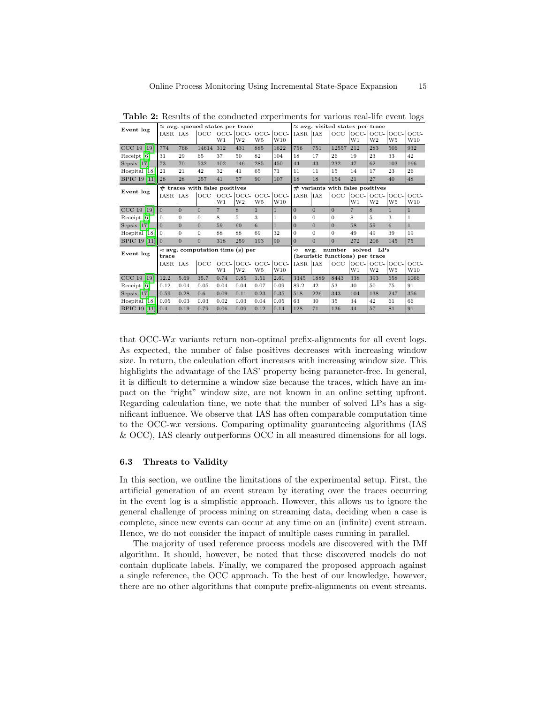| Event log           | $\approx$ avg. queued states per trace           |                |                |                  |                |                       | $\approx$ avg. visited states per trace |                                                                              |                |                |                |                                                                                                                                                                                                                                                                                                                                                               |                |                 |
|---------------------|--------------------------------------------------|----------------|----------------|------------------|----------------|-----------------------|-----------------------------------------|------------------------------------------------------------------------------|----------------|----------------|----------------|---------------------------------------------------------------------------------------------------------------------------------------------------------------------------------------------------------------------------------------------------------------------------------------------------------------------------------------------------------------|----------------|-----------------|
|                     | IASR                                             | <b>IAS</b>     |                | occ locc-        |                | $OCC - CO-CC - CO-CC$ |                                         | IASR IAS                                                                     |                | OCC            | $OCC-$         | OCC-                                                                                                                                                                                                                                                                                                                                                          | $ occ$ - $ $   | $OCC-$          |
|                     |                                                  |                |                | W1               | W <sub>2</sub> | W <sub>5</sub>        | W10                                     |                                                                              |                |                | W1             | W2                                                                                                                                                                                                                                                                                                                                                            | W5             | W <sub>10</sub> |
| CCC 19 [19]         | 774                                              | 766            | 14614          | 312              | 431            | 885                   | 1622                                    | 756                                                                          | 751            | 12557          | 212            | 283                                                                                                                                                                                                                                                                                                                                                           | 506            | 932             |
| Receipt [6]         | 31                                               | 29             | 65             | 37               | 50             | 82                    | 104                                     | 18                                                                           | 17             | 26             | 19             | 23                                                                                                                                                                                                                                                                                                                                                            | 33             | 42              |
| Sepsis [17]         | 73                                               | 70             | 532            | 102              | 146            | 285                   | 450                                     | 44                                                                           | 43             | 232            | 47             | 62                                                                                                                                                                                                                                                                                                                                                            | 103            | 166             |
| Hospital [18]       | 21                                               | 21             | 42             | 32               | 41             | 65                    | 71                                      | 11                                                                           | 11             | 15             | 14             | 17                                                                                                                                                                                                                                                                                                                                                            | 23             | 26              |
| <b>BPIC 19 [11]</b> | 28                                               | 28             | 257            | 41               | 57             | 90                    | 107                                     | 18                                                                           | 18             | 154            | 21             | 27                                                                                                                                                                                                                                                                                                                                                            | 40             | 48              |
| Event log           | $#$ traces with false positives                  |                |                |                  |                |                       | $#$ variants with false positives       |                                                                              |                |                |                |                                                                                                                                                                                                                                                                                                                                                               |                |                 |
|                     | IASR                                             | <b>IAS</b>     | OCC            | $ OCC-$          |                | $ OCC- OCC- OCC- $    |                                         | <b>IASR IAS</b>                                                              |                | OCC            |                | $\alpha$   $\alpha$   $\alpha$   $\alpha$   $\alpha$   $\alpha$   $\alpha$   $\alpha$   $\alpha$   $\alpha$   $\alpha$   $\alpha$   $\alpha$   $\alpha$   $\alpha$   $\alpha$   $\alpha$   $\alpha$   $\alpha$   $\alpha$   $\alpha$   $\alpha$   $\alpha$   $\alpha$   $\alpha$   $\alpha$   $\alpha$   $\alpha$   $\alpha$   $\alpha$   $\alpha$   $\alpha$ |                | $OCC-$          |
|                     |                                                  |                |                | W1               | W <sub>2</sub> | W <sub>5</sub>        | W <sub>10</sub>                         |                                                                              |                |                | W1             | W <sub>2</sub>                                                                                                                                                                                                                                                                                                                                                | W5             | W <sub>10</sub> |
| CCC 19 [19]         | $\overline{0}$                                   | $\overline{0}$ | $\Omega$       | $\overline{7}$   | 8              | $\mathbf{1}$          | 1                                       | $\Omega$                                                                     | $\overline{0}$ | $\mathbf{0}$   | $\overline{7}$ | 8                                                                                                                                                                                                                                                                                                                                                             | 1              | 1               |
| Receipt [6]         | $\Omega$                                         | $\Omega$       | $\Omega$       | 8                | 5              | 3                     | 1                                       | $\Omega$                                                                     | $\Omega$       | $\overline{0}$ | 8              | 5                                                                                                                                                                                                                                                                                                                                                             | 3              | 1               |
| Sepsis [17]         | $\overline{0}$                                   | $\overline{0}$ | $\overline{0}$ | 59               | 60             | 6                     | $\mathbf{1}$                            | $\overline{0}$                                                               | $\overline{0}$ | $\mathbf{0}$   | 58             | 59                                                                                                                                                                                                                                                                                                                                                            | 6              | $\mathbf{1}$    |
| Hospital [18]       | $\Omega$                                         | $\Omega$       | $\Omega$       | 88               | 88             | 69                    | 32                                      | $\Omega$                                                                     | $\Omega$       | $\Omega$       | 49             | 49                                                                                                                                                                                                                                                                                                                                                            | 39             | 19              |
| <b>BPIC 19 [11]</b> | $\overline{0}$                                   | $\Omega$       | $\Omega$       | 318              | 259            | 193                   | 90                                      | $\Omega$                                                                     | $\Omega$       | $\Omega$       | 272            | 206                                                                                                                                                                                                                                                                                                                                                           | 145            | 75              |
| Event log           | $\approx$ avg. computation time (s) per<br>trace |                |                |                  |                |                       |                                         | number solved<br>LPs<br>$\approx$<br>avg.<br>(heuristic functions) per trace |                |                |                |                                                                                                                                                                                                                                                                                                                                                               |                |                 |
|                     | IASR                                             | <b>IAS</b>     |                | $ OCC $ $ OCC- $ |                | OCC-   OCC-   OCC-    |                                         | IASR IAS                                                                     |                | OCC            |                | $ OCC -  OCC -  OCC -  OCC -$                                                                                                                                                                                                                                                                                                                                 |                |                 |
|                     |                                                  |                |                | W1               | W <sub>2</sub> | W <sub>5</sub>        | W10                                     |                                                                              |                |                | W1             | W <sub>2</sub>                                                                                                                                                                                                                                                                                                                                                | W <sub>5</sub> | W10             |
| CCC 19 [19]         | 12.2                                             | 5.69           | 35.7           | 0.74             | 0.85           | 1.51                  | 2.61                                    | 3345                                                                         | 1889           | 8443           | 338            | 393                                                                                                                                                                                                                                                                                                                                                           | 658            | 1066            |
| Receipt [6]         | 0.12                                             | 0.04           | 0.05           | 0.04             | 0.04           | 0.07                  | 0.09                                    | 89.2                                                                         | 42             | 53             | 40             | 50                                                                                                                                                                                                                                                                                                                                                            | 75             | 91              |
| Sepsis [17]         | 0.59                                             | 0.28           | 0.6            | 0.09             | 0.11           | 0.23                  | 0.35                                    | 518                                                                          | 226            | 343            | 104            | 138                                                                                                                                                                                                                                                                                                                                                           | 247            | 356             |
| Hospital [18]       | 0.05                                             | 0.03           | 0.03           | 0.02             | 0.03           | 0.04                  | 0.05                                    | 63                                                                           | 30             | 35             | 34             | 42                                                                                                                                                                                                                                                                                                                                                            | 61             | 66              |
| <b>BPIC 19 [11]</b> | 0.4                                              | 0.19           | 0.79           | 0.06             | 0.09           | 0.12                  | 0.14                                    | 128                                                                          | 71             | 136            | 44             | 57                                                                                                                                                                                                                                                                                                                                                            | 81             | 91              |

<span id="page-14-0"></span>Table 2: Results of the conducted experiments for various real-life event logs

that OCC-Wx variants return non-optimal prefix-alignments for all event logs. As expected, the number of false positives decreases with increasing window size. In return, the calculation effort increases with increasing window size. This highlights the advantage of the IAS' property being parameter-free. In general, it is difficult to determine a window size because the traces, which have an impact on the "right" window size, are not known in an online setting upfront. Regarding calculation time, we note that the number of solved LPs has a significant influence. We observe that IAS has often comparable computation time to the OCC-wx versions. Comparing optimality guaranteeing algorithms (IAS & OCC), IAS clearly outperforms OCC in all measured dimensions for all logs.

#### 6.3 Threats to Validity

In this section, we outline the limitations of the experimental setup. First, the artificial generation of an event stream by iterating over the traces occurring in the event log is a simplistic approach. However, this allows us to ignore the general challenge of process mining on streaming data, deciding when a case is complete, since new events can occur at any time on an (infinite) event stream. Hence, we do not consider the impact of multiple cases running in parallel.

The majority of used reference process models are discovered with the IMf algorithm. It should, however, be noted that these discovered models do not contain duplicate labels. Finally, we compared the proposed approach against a single reference, the OCC approach. To the best of our knowledge, however, there are no other algorithms that compute prefix-alignments on event streams.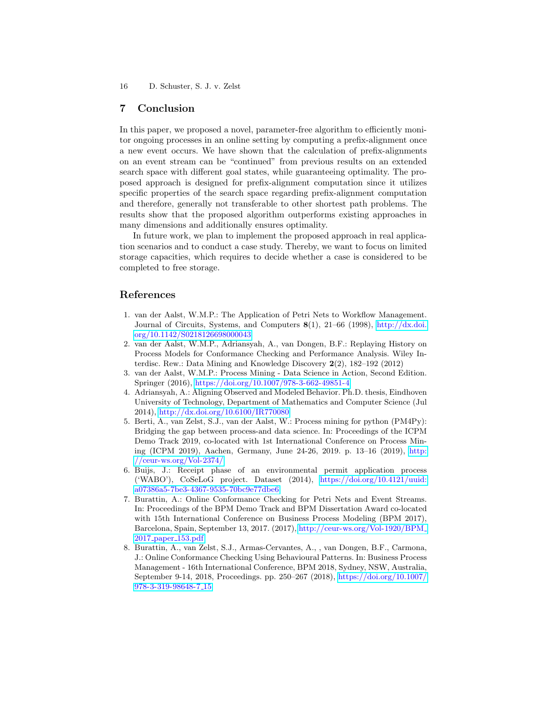# <span id="page-15-3"></span>7 Conclusion

In this paper, we proposed a novel, parameter-free algorithm to efficiently monitor ongoing processes in an online setting by computing a prefix-alignment once a new event occurs. We have shown that the calculation of prefix-alignments on an event stream can be "continued" from previous results on an extended search space with different goal states, while guaranteeing optimality. The proposed approach is designed for prefix-alignment computation since it utilizes specific properties of the search space regarding prefix-alignment computation and therefore, generally not transferable to other shortest path problems. The results show that the proposed algorithm outperforms existing approaches in many dimensions and additionally ensures optimality.

In future work, we plan to implement the proposed approach in real application scenarios and to conduct a case study. Thereby, we want to focus on limited storage capacities, which requires to decide whether a case is considered to be completed to free storage.

# References

- <span id="page-15-6"></span>1. van der Aalst, W.M.P.: The Application of Petri Nets to Workflow Management. Journal of Circuits, Systems, and Computers 8(1), 21–66 (1998), [http://dx.doi.](http://dx.doi.org/10.1142/S0218126698000043) [org/10.1142/S0218126698000043](http://dx.doi.org/10.1142/S0218126698000043)
- <span id="page-15-4"></span>2. van der Aalst, W.M.P., Adriansyah, A., van Dongen, B.F.: Replaying History on Process Models for Conformance Checking and Performance Analysis. Wiley Interdisc. Rew.: Data Mining and Knowledge Discovery 2(2), 182–192 (2012)
- <span id="page-15-0"></span>3. van der Aalst, W.M.P.: Process Mining - Data Science in Action, Second Edition. Springer (2016), <https://doi.org/10.1007/978-3-662-49851-4>
- <span id="page-15-5"></span>4. Adriansyah, A.: Aligning Observed and Modeled Behavior. Ph.D. thesis, Eindhoven University of Technology, Department of Mathematics and Computer Science (Jul 2014), <http://dx.doi.org/10.6100/IR770080>
- <span id="page-15-7"></span>5. Berti, A., van Zelst, S.J., van der Aalst, W.: Process mining for python (PM4Py): Bridging the gap between process-and data science. In: Proceedings of the ICPM Demo Track 2019, co-located with 1st International Conference on Process Mining (ICPM 2019), Aachen, Germany, June 24-26, 2019. p. 13–16 (2019), [http:](http://ceur-ws.org/Vol-2374/) [//ceur-ws.org/Vol-2374/](http://ceur-ws.org/Vol-2374/)
- <span id="page-15-8"></span>6. Buijs, J.: Receipt phase of an environmental permit application process ('WABO'), CoSeLoG project. Dataset (2014), [https://doi.org/10.4121/uuid:](https://doi.org/10.4121/uuid:a07386a5-7be3-4367-9535-70bc9e77dbe6) [a07386a5-7be3-4367-9535-70bc9e77dbe6](https://doi.org/10.4121/uuid:a07386a5-7be3-4367-9535-70bc9e77dbe6)
- <span id="page-15-1"></span>7. Burattin, A.: Online Conformance Checking for Petri Nets and Event Streams. In: Proceedings of the BPM Demo Track and BPM Dissertation Award co-located with 15th International Conference on Business Process Modeling (BPM 2017), Barcelona, Spain, September 13, 2017. (2017), [http://ceur-ws.org/Vol-1920/BPM](http://ceur-ws.org/Vol-1920/BPM_2017_paper_153.pdf) 2017 paper [153.pdf](http://ceur-ws.org/Vol-1920/BPM_2017_paper_153.pdf)
- <span id="page-15-2"></span>8. Burattin, A., van Zelst, S.J., Armas-Cervantes, A., , van Dongen, B.F., Carmona, J.: Online Conformance Checking Using Behavioural Patterns. In: Business Process Management - 16th International Conference, BPM 2018, Sydney, NSW, Australia, September 9-14, 2018, Proceedings. pp. 250–267 (2018), [https://doi.org/10.1007/](https://doi.org/10.1007/978-3-319-98648-7_15) [978-3-319-98648-7](https://doi.org/10.1007/978-3-319-98648-7_15) 15